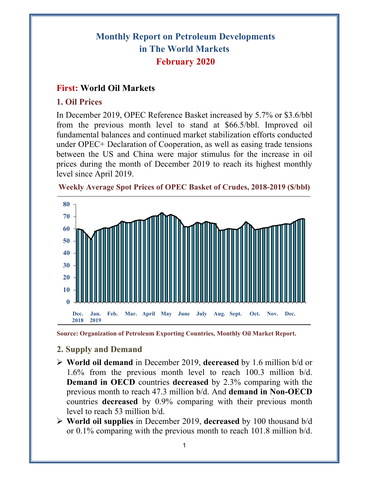# **Monthly Report on Petroleum Developments in The World Markets February 2020**

# **First: World Oil Markets**

## **1. Oil Prices**

In December 2019, OPEC Reference Basket increased by 5.7% or \$3.6/bbl from the previous month level to stand at \$66.5/bbl. Improved oil fundamental balances and continued market stabilization efforts conducted under OPEC+ Declaration of Cooperation, as well as easing trade tensions between the US and China were major stimulus for the increase in oil prices during the month of December 2019 to reach its highest monthly level since April 2019.



**Weekly Average Spot Prices of OPEC Basket of Crudes, 2018-2019 (\$/bbl)**

# **2. Supply and Demand**

- **World oil demand** in December 2019, **decreased** by 1.6 million b/d or 1.6% from the previous month level to reach 100.3 million b/d. **Demand in OECD** countries **decreased** by 2.3% comparing with the previous month to reach 47.3 million b/d. And **demand in Non-OECD** countries **decreased** by 0.9% comparing with their previous month level to reach 53 million b/d.
- **World oil supplies** in December 2019, **decreased** by 100 thousand b/d or 0.1% comparing with the previous month to reach 101.8 million b/d.

**Source: Organization of Petroleum Exporting Countries, Monthly Oil Market Report.**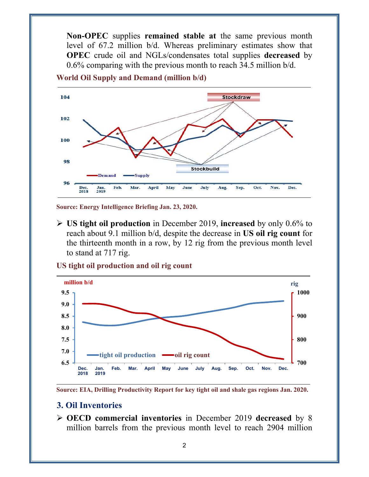**Non-OPEC** supplies **remained stable at** the same previous month level of 67.2 million b/d. Whereas preliminary estimates show that **OPEC** crude oil and NGLs/condensates total supplies **decreased** by 0.6% comparing with the previous month to reach 34.5 million b/d.



**World Oil Supply and Demand (million b/d)** 

**Source: Energy Intelligence Briefing Jan. 23, 2020.** 

 **US tight oil production** in December 2019, **increased** by only 0.6% to reach about 9.1 million b/d, despite the decrease in **US oil rig count** for the thirteenth month in a row, by 12 rig from the previous month level to stand at 717 rig.



**US tight oil production and oil rig count** 

**Source: EIA, Drilling Productivity Report for key tight oil and shale gas regions Jan. 2020.** 

#### **3. Oil Inventories**

 **OECD commercial inventories** in December 2019 **decreased** by 8 million barrels from the previous month level to reach 2904 million